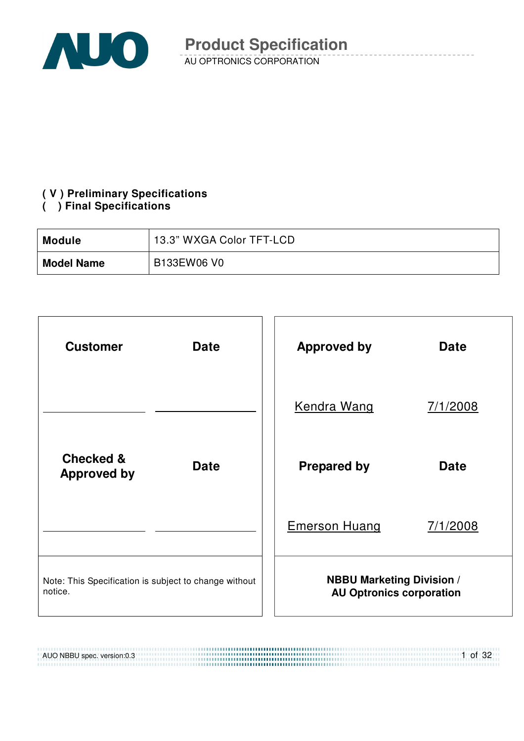

### **( V ) Preliminary Specifications**

### **( ) Final Specifications**

| Module            | 13.3" WXGA Color TFT-LCD |  |
|-------------------|--------------------------|--|
| <b>Model Name</b> | B133EW06 V0              |  |



AUO NBBU spec. version:0.3 1 of 32 .......................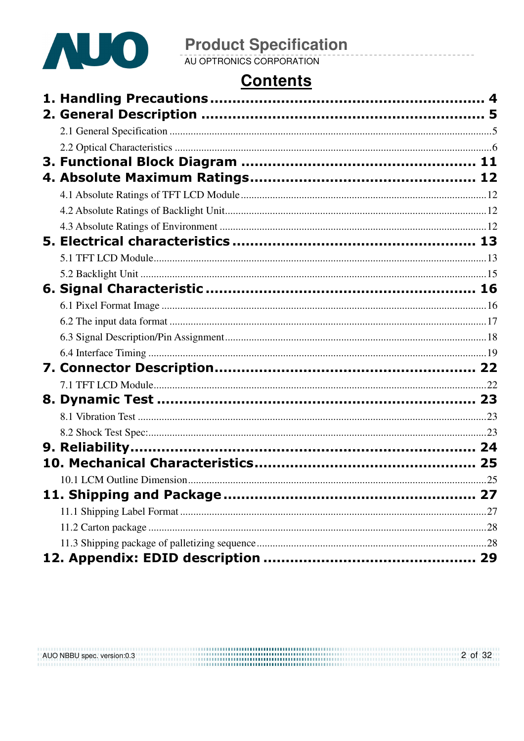

# **Product Specification**<br>AU OPTRONICS CORPORATION

# **Contents**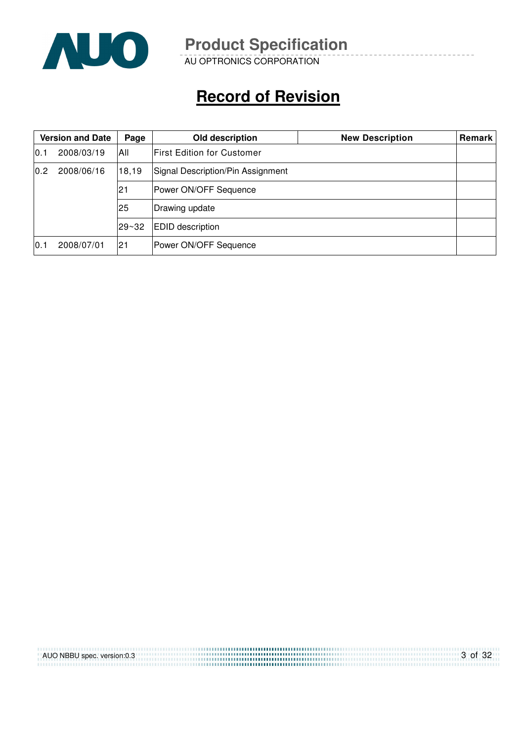

AU OPTRONICS CORPORATION

# **Record of Revision**

|     | <b>Version and Date</b> | Page  | Old description                   | <b>New Description</b> | Remark |
|-----|-------------------------|-------|-----------------------------------|------------------------|--------|
| 0.1 | 2008/03/19              | All   | <b>First Edition for Customer</b> |                        |        |
| 0.2 | 2008/06/16              | 18,19 | Signal Description/Pin Assignment |                        |        |
|     |                         | 21    | Power ON/OFF Sequence             |                        |        |
|     |                         | l25   | Drawing update                    |                        |        |
|     |                         | 29~32 | <b>EDID</b> description           |                        |        |
| 0.1 | 2008/07/01              | 21    | Power ON/OFF Sequence             |                        |        |

| AUO NBBU spec. version:0.3 | 3 of 32 |
|----------------------------|---------|
|                            |         |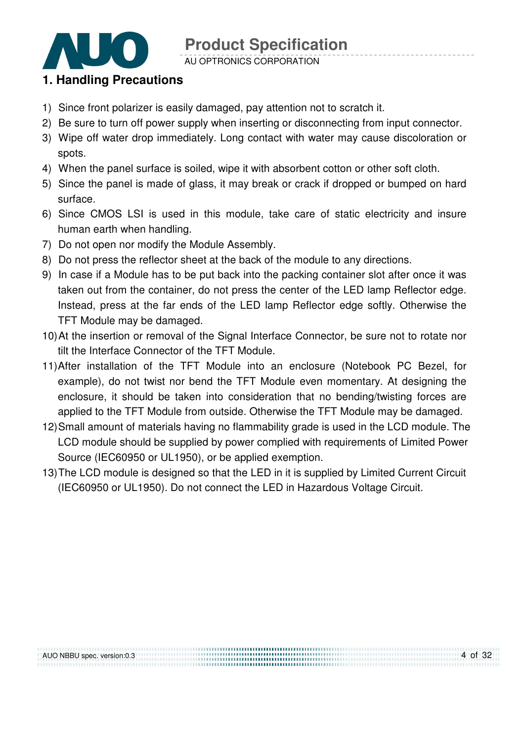

AU OPTRONICS CORPORATION

### **1. Handling Precautions**

- 1) Since front polarizer is easily damaged, pay attention not to scratch it.
- 2) Be sure to turn off power supply when inserting or disconnecting from input connector.
- 3) Wipe off water drop immediately. Long contact with water may cause discoloration or spots.
- 4) When the panel surface is soiled, wipe it with absorbent cotton or other soft cloth.
- 5) Since the panel is made of glass, it may break or crack if dropped or bumped on hard surface.
- 6) Since CMOS LSI is used in this module, take care of static electricity and insure human earth when handling.
- 7) Do not open nor modify the Module Assembly.
- 8) Do not press the reflector sheet at the back of the module to any directions.
- 9) In case if a Module has to be put back into the packing container slot after once it was taken out from the container, do not press the center of the LED lamp Reflector edge. Instead, press at the far ends of the LED lamp Reflector edge softly. Otherwise the TFT Module may be damaged.
- 10) At the insertion or removal of the Signal Interface Connector, be sure not to rotate nor tilt the Interface Connector of the TFT Module.
- 11) After installation of the TFT Module into an enclosure (Notebook PC Bezel, for example), do not twist nor bend the TFT Module even momentary. At designing the enclosure, it should be taken into consideration that no bending/twisting forces are applied to the TFT Module from outside. Otherwise the TFT Module may be damaged.
- 12) Small amount of materials having no flammability grade is used in the LCD module. The LCD module should be supplied by power complied with requirements of Limited Power Source (IEC60950 or UL1950), or be applied exemption.
- 13) The LCD module is designed so that the LED in it is supplied by Limited Current Circuit (IEC60950 or UL1950). Do not connect the LED in Hazardous Voltage Circuit.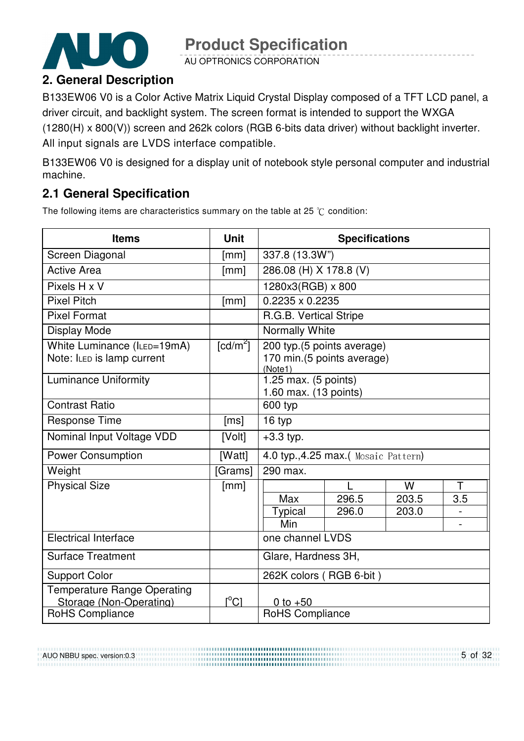

AU OPTRONICS CORPORATION

### **2. General Description**

B133EW06 V0 is a Color Active Matrix Liquid Crystal Display composed of a TFT LCD panel, a driver circuit, and backlight system. The screen format is intended to support the WXGA (1280(H) x 800(V)) screen and 262k colors (RGB 6-bits data driver) without backlight inverter. All input signals are LVDS interface compatible.

B133EW06 V0 is designed for a display unit of notebook style personal computer and industrial machine.

### **2.1 General Specification**

The following items are characteristics summary on the table at 25  $\degree$ C condition:

| <b>Items</b>                                                  | <b>Unit</b>                   | <b>Specifications</b>                                               |       |       |     |  |
|---------------------------------------------------------------|-------------------------------|---------------------------------------------------------------------|-------|-------|-----|--|
| Screen Diagonal                                               | [mm]                          | 337.8 (13.3W")                                                      |       |       |     |  |
| <b>Active Area</b>                                            | [mm]                          | 286.08 (H) X 178.8 (V)                                              |       |       |     |  |
| Pixels H x V                                                  |                               | 1280x3(RGB) x 800                                                   |       |       |     |  |
| <b>Pixel Pitch</b>                                            | [mm]                          | 0.2235 x 0.2235                                                     |       |       |     |  |
| <b>Pixel Format</b>                                           |                               | R.G.B. Vertical Stripe                                              |       |       |     |  |
| Display Mode                                                  |                               | Normally White                                                      |       |       |     |  |
| White Luminance (ILED=19mA)<br>Note: ILED is lamp current     | $\lceil cd/m^2 \rceil$        | 200 typ.(5 points average)<br>170 min.(5 points average)<br>(Note1) |       |       |     |  |
| <b>Luminance Uniformity</b>                                   |                               | 1.25 max. (5 points)<br>1.60 max. (13 points)                       |       |       |     |  |
| <b>Contrast Ratio</b>                                         |                               | 600 typ                                                             |       |       |     |  |
| <b>Response Time</b>                                          | [ms]                          | 16 typ                                                              |       |       |     |  |
| Nominal Input Voltage VDD                                     | [Volt]                        | $+3.3$ typ.                                                         |       |       |     |  |
| <b>Power Consumption</b>                                      | [Watt]                        | 4.0 typ., 4.25 max.( Mosaic Pattern)                                |       |       |     |  |
| Weight                                                        | [Grams]                       | 290 max.                                                            |       |       |     |  |
| <b>Physical Size</b>                                          | [mm]                          |                                                                     |       | W     | Τ   |  |
|                                                               |                               | Max                                                                 | 296.5 | 203.5 | 3.5 |  |
|                                                               |                               | <b>Typical</b>                                                      | 296.0 | 203.0 |     |  |
|                                                               |                               | Min                                                                 |       |       |     |  |
| <b>Electrical Interface</b>                                   |                               | one channel LVDS                                                    |       |       |     |  |
| <b>Surface Treatment</b>                                      |                               | Glare, Hardness 3H,                                                 |       |       |     |  |
| <b>Support Color</b>                                          |                               | 262K colors (RGB 6-bit)                                             |       |       |     |  |
| <b>Temperature Range Operating</b><br>Storage (Non-Operating) | $\mathsf{I}^\circ\mathsf{Cl}$ | 0 to $+50$                                                          |       |       |     |  |
| RoHS Compliance                                               |                               | RoHS Compliance                                                     |       |       |     |  |

AUO NBBU spec. version:0.3

5 of 32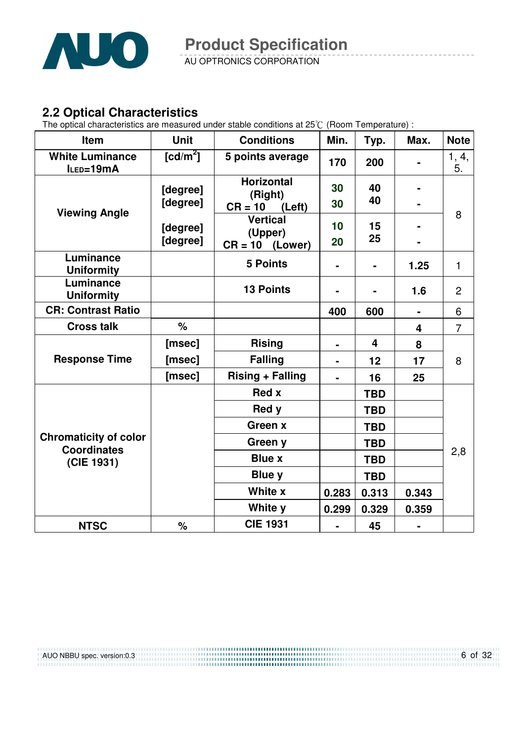

AU OPTRONICS CORPORATION

### **2.2 Optical Characteristics**

The optical characteristics are measured under stable conditions at 25 $\degree$  (Room Temperature) :

| Item                                                             | <b>Unit</b> | <b>Conditions</b><br>Min.    |                | Typ.       | Max.                    | <b>Note</b>    |  |
|------------------------------------------------------------------|-------------|------------------------------|----------------|------------|-------------------------|----------------|--|
| <b>White Luminance</b><br>ILED=19mA                              | [ $cd/m2$ ] | 5 points average             | 170            | 200        |                         | 1, 4,<br>5.    |  |
|                                                                  | [degree]    | <b>Horizontal</b><br>(Right) | 30             | 40<br>40   |                         |                |  |
| <b>Viewing Angle</b>                                             | [degree]    | $CR = 10$<br>(Left)          | 30             |            |                         | 8              |  |
|                                                                  | [degree]    | <b>Vertical</b>              | 10             | 15         |                         |                |  |
|                                                                  | [degree]    | (Upper)<br>$CR = 10$ (Lower) | 20             | 25         |                         |                |  |
| Luminance<br><b>Uniformity</b>                                   |             | <b>5 Points</b>              | $\blacksquare$ |            | 1.25                    | $\mathbf{1}$   |  |
| Luminance<br><b>Uniformity</b>                                   |             | <b>13 Points</b>             |                |            | 1.6                     | $\overline{2}$ |  |
| <b>CR: Contrast Ratio</b>                                        |             |                              | 400            | 600        | ٠                       | 6              |  |
| <b>Cross talk</b>                                                | $\%$        |                              |                |            | $\overline{\mathbf{4}}$ | $\overline{7}$ |  |
| <b>Response Time</b>                                             | [msec]      | <b>Rising</b>                |                | 4          | 8                       |                |  |
|                                                                  | [msec]      | <b>Falling</b>               |                | 12         | 17                      | 8              |  |
|                                                                  | [msec]      | <b>Rising + Falling</b>      |                | 16         | 25                      |                |  |
|                                                                  |             | <b>Red x</b>                 |                | <b>TBD</b> |                         |                |  |
|                                                                  |             | Red y                        |                | <b>TBD</b> |                         |                |  |
| <b>Chromaticity of color</b><br><b>Coordinates</b><br>(CIE 1931) |             | Green x                      |                | <b>TBD</b> |                         |                |  |
|                                                                  |             | Green y                      |                | <b>TBD</b> |                         |                |  |
|                                                                  |             | <b>Blue x</b>                |                | <b>TBD</b> |                         | 2,8            |  |
|                                                                  |             | <b>Blue y</b>                |                | <b>TBD</b> |                         |                |  |
|                                                                  |             | White x                      | 0.283          | 0.313      | 0.343                   |                |  |
|                                                                  |             | White y                      | 0.299          | 0.329      | 0.359                   |                |  |
| <b>NTSC</b>                                                      | %           | <b>CIE 1931</b>              | $\blacksquare$ | 45         |                         |                |  |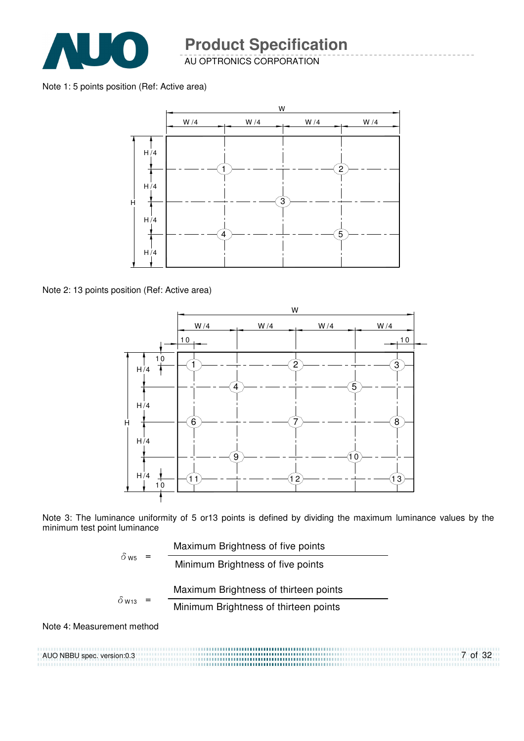

AU OPTRONICS CORPORATION

#### Note 1: 5 points position (Ref: Active area)



Note 2: 13 points position (Ref: Active area)



Note 3: The luminance uniformity of 5 or13 points is defined by dividing the maximum luminance values by the minimum test point luminance

$$
\delta_{\text{W5}} = \frac{\text{Maximum Brightness of five points}}{\text{Minimum Brightness of five points}}
$$
\n
$$
\delta_{\text{W13}} = \frac{\text{Maximum Brightness of thirteen points}}{\text{Minimum Brightness of thirteen points}}
$$

#### Note 4: Measurement method

AUO NBBU spec. version:0.3 7 of 32 ,,,,,,,,,,,,,,,,,,,,,,,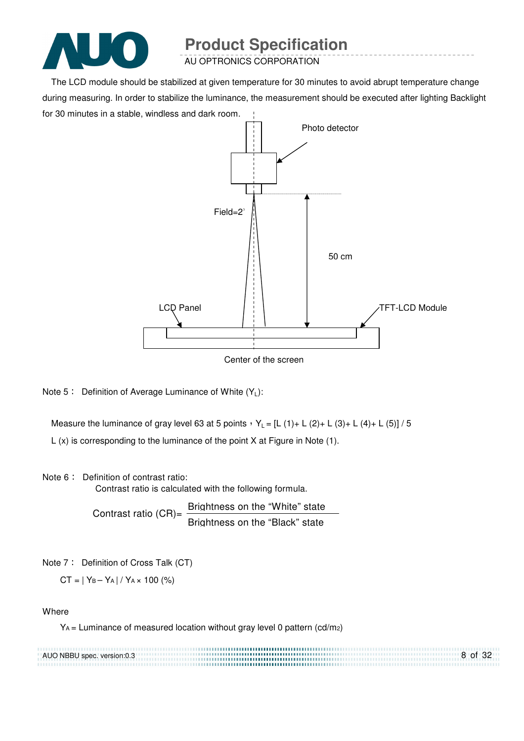

AU OPTRONICS CORPORATION

The LCD module should be stabilized at given temperature for 30 minutes to avoid abrupt temperature change during measuring. In order to stabilize the luminance, the measurement should be executed after lighting Backlight for 30 minutes in a stable, windless and dark room.



Center of the screen

Note 5: Definition of Average Luminance of White  $(Y_L)$ :

Measure the luminance of gray level 63 at 5 points  $Y_L = [L (1) + L (2) + L (3) + L (4) + L (5)] / 5$ 

L (x) is corresponding to the luminance of the point X at Figure in Note (1).

#### Note 6: Definition of contrast ratio:

Contrast ratio is calculated with the following formula.

Contrast ratio  $(CR)$ = Brightness on the "White" state Brightness on the "Black" state

Note 7: Definition of Cross Talk (CT)

 $CT = |Y_B - Y_A| / Y_A \times 100$  (%)

#### **Where**

 $Y_A$  = Luminance of measured location without gray level 0 pattern (cd/m<sub>2</sub>)

| AUO NBBU spec. version:0.3 | 8 of 32 |
|----------------------------|---------|
|                            |         |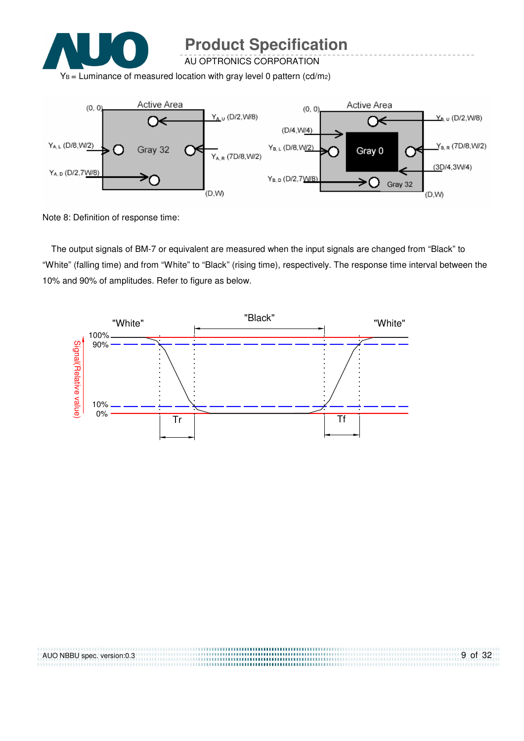

AU OPTRONICS CORPORATION

 $Y_B$  = Luminance of measured location with gray level 0 pattern (cd/m2)



Note 8: Definition of response time:

The output signals of BM-7 or equivalent are measured when the input signals are changed from "Black" to "White" (falling time) and from "White" to "Black" (rising time), respectively. The response time interval between the 10% and 90% of amplitudes. Refer to figure as below.



| AUO NBBU spec. version:0.3 | $9$ of 32 |
|----------------------------|-----------|
|                            |           |
|                            |           |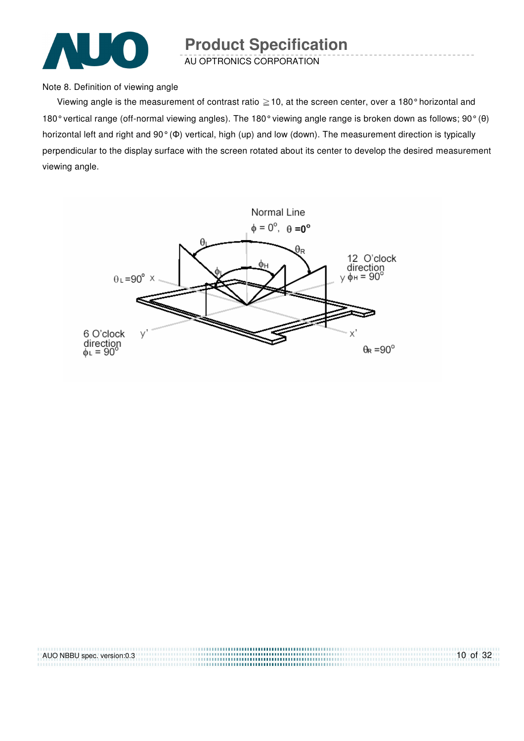

AU OPTRONICS CORPORATION

Note 8. Definition of viewing angle

Viewing angle is the measurement of contrast ratio  $\geq$  10, at the screen center, over a 180° horizontal and 180° vertical range (off-normal viewing angles). The 180° viewing angle range is broken down as follows; 90° (θ) horizontal left and right and 90° (Φ) vertical, high (up) and low (down). The measurement direction is typically perpendicular to the display surface with the screen rotated about its center to develop the desired measurement viewing angle.



| AUO NBBU spec. version:0.3 | $10$ of 32 |
|----------------------------|------------|
|                            |            |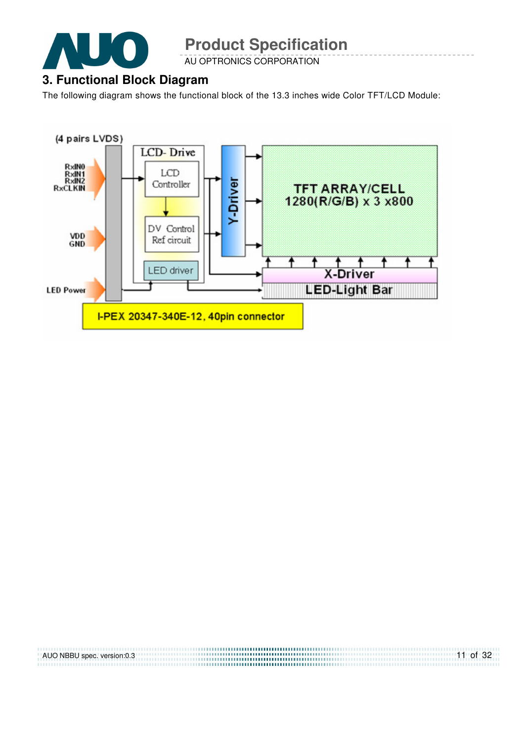

AU OPTRONICS CORPORATION

### **3. Functional Block Diagram**

The following diagram shows the functional block of the 13.3 inches wide Color TFT/LCD Module:



| AUO NBBU spec. version:0.3 | $11$ of 32 |
|----------------------------|------------|
|                            |            |
|                            |            |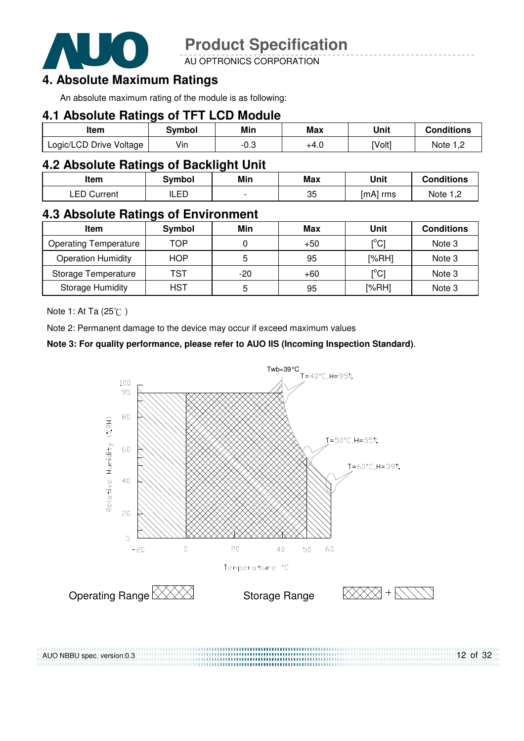

AU OPTRONICS CORPORATION

### **4. Absolute Maximum Ratings**

An absolute maximum rating of the module is as following:

### **4.1 Absolute Ratings of TFT LCD Module**

| ltem                    | Svmbol | Min  | Max  | Unit   | <b>Conditions</b> |
|-------------------------|--------|------|------|--------|-------------------|
| Logic/LCD Drive Voltage | Vin    | ن.∪- | +4.0 | [Volt] | Note 1. $\degree$ |

### **4.2 Absolute Ratings of Backlight Unit**

| Item               | <b>Symbol</b> | Min                      | Max | Unit     | <b>Conditions</b> |
|--------------------|---------------|--------------------------|-----|----------|-------------------|
| <b>LED Current</b> | ILED          | $\overline{\phantom{0}}$ | 35  | [mA] rms | Note $1,2$        |

### **4.3 Absolute Ratings of Environment**

| Item                         | Symbol     | Min   | Max   | Unit                                    | <b>Conditions</b> |
|------------------------------|------------|-------|-------|-----------------------------------------|-------------------|
| <b>Operating Temperature</b> | TOP        |       | $+50$ | $\mathsf{I}^\circ\mathsf{C} \mathsf{I}$ | Note 3            |
| <b>Operation Humidity</b>    | <b>HOP</b> | 5     | 95    | [%RH]                                   | Note 3            |
| Storage Temperature          | TST        | $-20$ | $+60$ | $\mathsf{I}^\circ\mathsf{C}\mathsf{I}$  | Note 3            |
| <b>Storage Humidity</b>      | <b>HST</b> | 5     | 95    | [%RH]                                   | Note 3            |

Note 1: At Ta  $(25^{\circ}\text{C})$ 

AUO NBBU spec. version:0.3

Note 2: Permanent damage to the device may occur if exceed maximum values

#### **Note 3: For quality performance, please refer to AUO IIS (Incoming Inspection Standard)**.

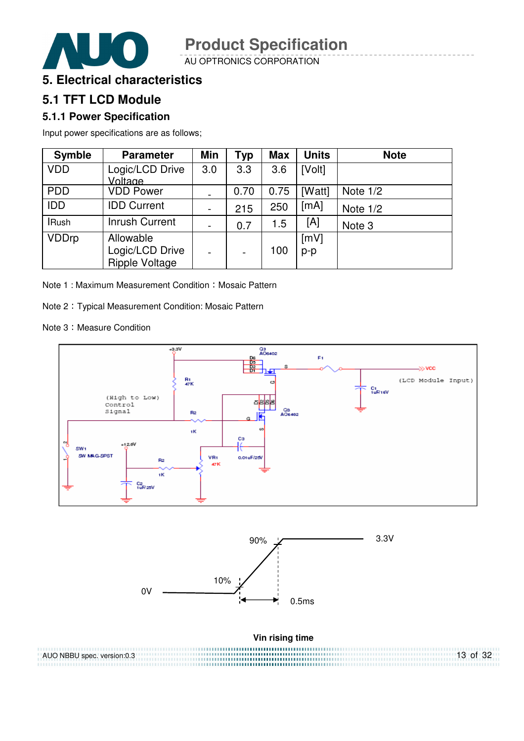

AU OPTRONICS CORPORATION



### **5.1 TFT LCD Module**

### **5.1.1 Power Specification**

Input power specifications are as follows;

| <b>Symble</b> | <b>Parameter</b>                               | <b>Min</b>               | <b>Typ</b> | <b>Max</b> | <b>Units</b> | <b>Note</b> |
|---------------|------------------------------------------------|--------------------------|------------|------------|--------------|-------------|
| <b>VDD</b>    | Logic/LCD Drive<br>Voltage                     | 3.0                      | 3.3        | 3.6        | [Volt]       |             |
| <b>PDD</b>    | <b>VDD Power</b>                               | Ξ.                       | 0.70       | 0.75       | [Watt]       | Note $1/2$  |
| <b>IDD</b>    | <b>IDD Current</b>                             | $\blacksquare$           | 215        | 250        | [mA]         | Note $1/2$  |
| <b>IRush</b>  | <b>Inrush Current</b>                          | $\blacksquare$           | 0.7        | 1.5        | [A]          | Note 3      |
| <b>VDDrp</b>  | Allowable<br>Logic/LCD Drive<br>Ripple Voltage | $\overline{\phantom{0}}$ |            | 100        | [mV]<br>p-p  |             |

Note 1 : Maximum Measurement Condition : Mosaic Pattern

Note 2 Typical Measurement Condition: Mosaic Pattern

Note 3: Measure Condition

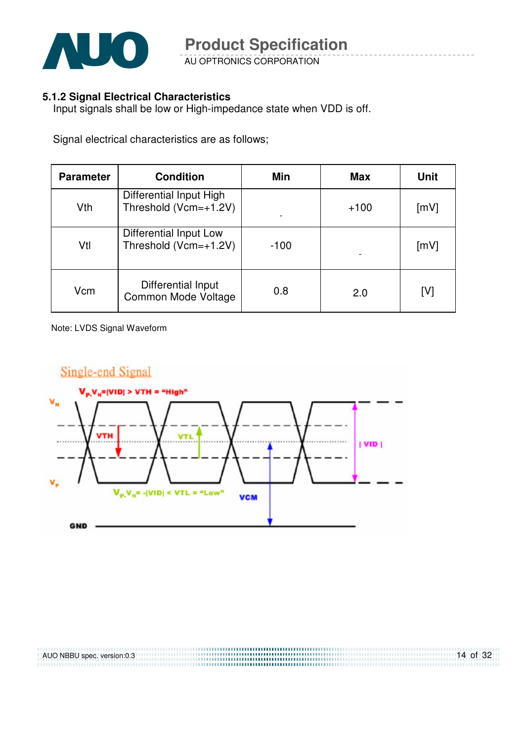

AU OPTRONICS CORPORATION

#### **5.1.2 Signal Electrical Characteristics**

Input signals shall be low or High-impedance state when VDD is off.

Signal electrical characteristics are as follows;

| <b>Parameter</b> | <b>Condition</b>                                 | Min    | <b>Max</b> | <b>Unit</b> |
|------------------|--------------------------------------------------|--------|------------|-------------|
| Vth              | Differential Input High<br>Threshold (Vcm=+1.2V) |        | $+100$     | [mV]        |
| Vtl              | Differential Input Low<br>Threshold (Vcm=+1.2V)  | $-100$ |            | [mV]        |
| Vcm              | Differential Input<br>Common Mode Voltage        | 0.8    | 2.0        | [V]         |

Note: LVDS Signal Waveform

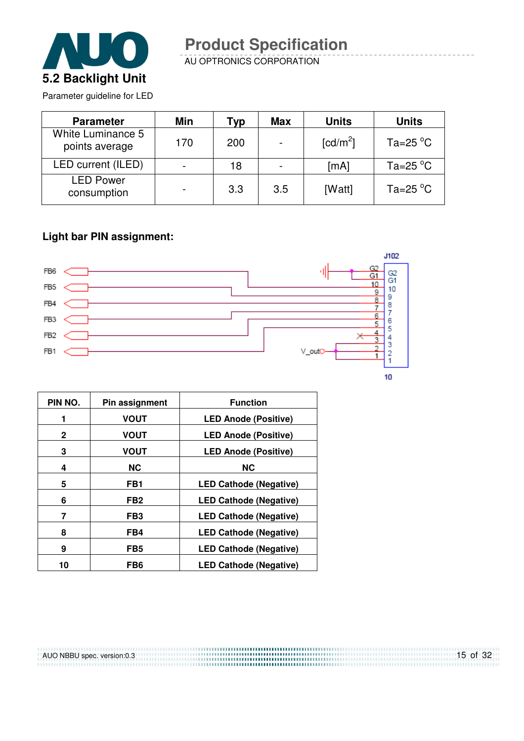

AU OPTRONICS CORPORATION

Parameter guideline for LED

| <b>Parameter</b>                    | Min                      | Typ | <b>Max</b>               | <b>Units</b>           | <b>Units</b>         |
|-------------------------------------|--------------------------|-----|--------------------------|------------------------|----------------------|
| White Luminance 5<br>points average | 170                      | 200 | $\overline{\phantom{a}}$ | $\lceil cd/m^2 \rceil$ | Ta=25 $^{\circ}$ C   |
| LED current (ILED)                  | $\blacksquare$           | 18  | $\overline{\phantom{a}}$ | [mA]                   | Ta=25 $^{\circ}$ C   |
| <b>LED Power</b><br>consumption     | $\overline{\phantom{0}}$ | 3.3 | 3.5                      | [Watt]                 | Ta=25 $\mathrm{^oC}$ |

#### **Light bar PIN assignment:**



| PIN NO.      | Pin assignment  | <b>Function</b>               |
|--------------|-----------------|-------------------------------|
| 1            | <b>VOUT</b>     | <b>LED Anode (Positive)</b>   |
| $\mathbf{2}$ | <b>VOUT</b>     | <b>LED Anode (Positive)</b>   |
| 3            | <b>VOUT</b>     | <b>LED Anode (Positive)</b>   |
| 4            | <b>NC</b>       | <b>NC</b>                     |
| 5            | FB1             | <b>LED Cathode (Negative)</b> |
| 6            | FB <sub>2</sub> | <b>LED Cathode (Negative)</b> |
| 7            | FB <sub>3</sub> | <b>LED Cathode (Negative)</b> |
| 8            | FB4             | <b>LED Cathode (Negative)</b> |
| 9            | FB <sub>5</sub> | <b>LED Cathode (Negative)</b> |
| 10           | FB <sub>6</sub> | <b>LED Cathode (Negative)</b> |

AUO NBBU spec. version:0.3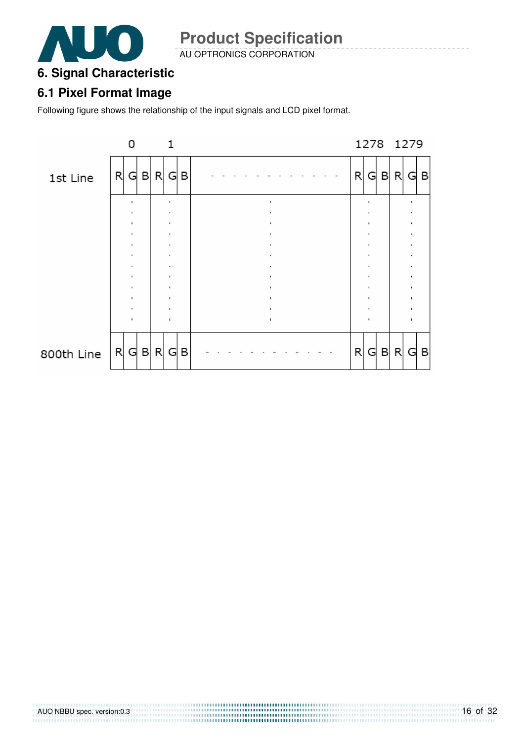

AU OPTRONICS CORPORATION

### **6. Signal Characteristic**

### **6.1 Pixel Format Image**

Following figure shows the relationship of the input signals and LCD pixel format.

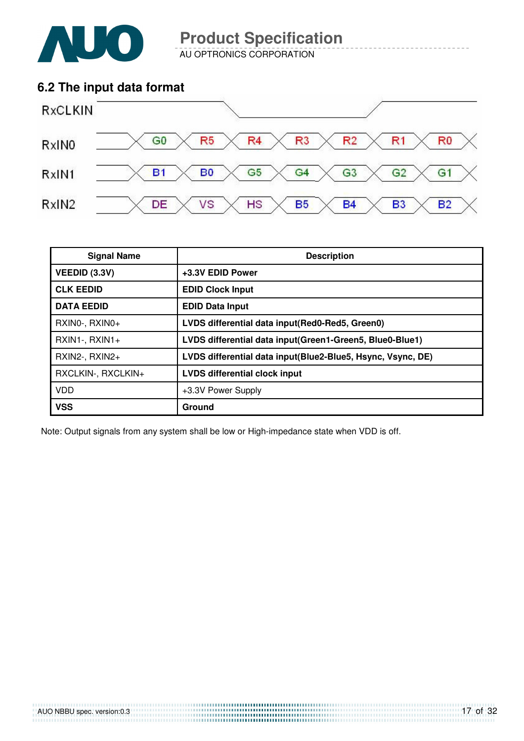

AU OPTRONICS CORPORATION

### **6.2 The input data format**



| <b>Signal Name</b>   | <b>Description</b>                                          |
|----------------------|-------------------------------------------------------------|
| <b>VEEDID (3.3V)</b> | +3.3V EDID Power                                            |
| <b>CLK EEDID</b>     | <b>EDID Clock Input</b>                                     |
| <b>DATA EEDID</b>    | <b>EDID Data Input</b>                                      |
| RXINO-, RXINO+       | LVDS differential data input(Red0-Red5, Green0)             |
| $RXIN1-, RXIN1+$     | LVDS differential data input(Green1-Green5, Blue0-Blue1)    |
| RXIN2-, RXIN2+       | LVDS differential data input(Blue2-Blue5, Hsync, Vsync, DE) |
| RXCLKIN-, RXCLKIN+   | <b>LVDS differential clock input</b>                        |
| <b>VDD</b>           | +3.3V Power Supply                                          |
| <b>VSS</b>           | Ground                                                      |

Note: Output signals from any system shall be low or High-impedance state when VDD is off.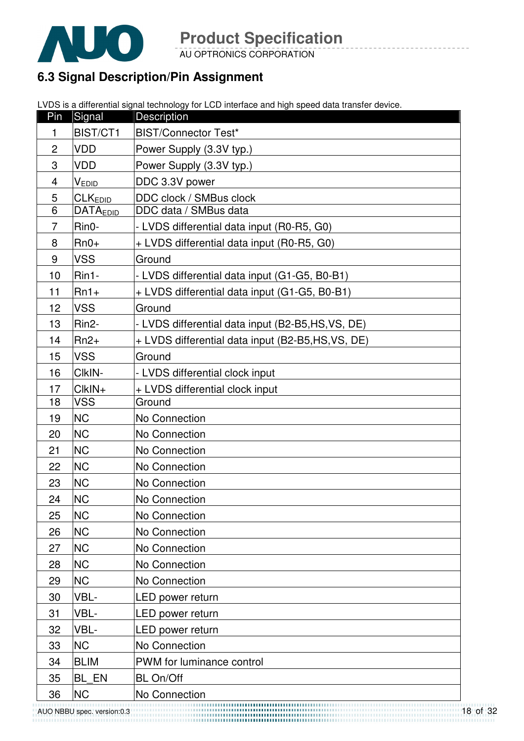

AU OPTRONICS CORPORATION

### **6.3 Signal Description/Pin Assignment**

LVDS is a differential signal technology for LCD interface and high speed data transfer device.

| Pin            | Signal                     | <b>Description</b>                               |
|----------------|----------------------------|--------------------------------------------------|
| 1              | BIST/CT1                   | <b>BIST/Connector Test*</b>                      |
| $\overline{c}$ | VDD                        | Power Supply (3.3V typ.)                         |
| 3              | VDD                        | Power Supply (3.3V typ.)                         |
| $\overline{4}$ | V <sub>EDID</sub>          | DDC 3.3V power                                   |
| 5              | <b>CLK</b> <sub>EDID</sub> | DDC clock / SMBus clock                          |
| 6              | <b>DATAEDID</b>            | DDC data / SMBus data                            |
| $\overline{7}$ | Rin0-                      | - LVDS differential data input (R0-R5, G0)       |
| 8              | $Rn0+$                     | + LVDS differential data input (R0-R5, G0)       |
| 9              | <b>VSS</b>                 | Ground                                           |
| 10             | Rin1-                      | - LVDS differential data input (G1-G5, B0-B1)    |
| 11             | $Rn1+$                     | + LVDS differential data input (G1-G5, B0-B1)    |
| 12             | <b>VSS</b>                 | Ground                                           |
| 13             | Rin <sub>2</sub> -         | - LVDS differential data input (B2-B5,HS,VS, DE) |
| 14             | $Rn2+$                     | + LVDS differential data input (B2-B5,HS,VS, DE) |
| 15             | <b>VSS</b>                 | Ground                                           |
| 16             | CIkIN-                     | - LVDS differential clock input                  |
| 17             | ClkIN+                     | + LVDS differential clock input                  |
| 18             | <b>VSS</b>                 | Ground                                           |
| 19             | <b>NC</b>                  | No Connection                                    |
| 20             | <b>NC</b>                  | No Connection                                    |
| 21             | <b>NC</b>                  | No Connection                                    |
| 22             | <b>NC</b>                  | No Connection                                    |
| 23             | <b>NC</b>                  | No Connection                                    |
| 24             | <b>NC</b>                  | No Connection                                    |
| 25             | <b>NC</b>                  | No Connection                                    |
| 26             | <b>NC</b>                  | No Connection                                    |
| 27             | <b>NC</b>                  | No Connection                                    |
| 28             | <b>NC</b>                  | No Connection                                    |
| 29             | <b>NC</b>                  | No Connection                                    |
| 30             | VBL-                       | LED power return                                 |
| 31             | VBL-                       | LED power return                                 |
| 32             | VBL-                       | LED power return                                 |
| 33             | <b>NC</b>                  | No Connection                                    |
| 34             | <b>BLIM</b>                | PWM for luminance control                        |
| 35             | BL EN                      | <b>BL On/Off</b>                                 |
| 36             | NC                         | No Connection                                    |

AUO NBBU spec. version:0.3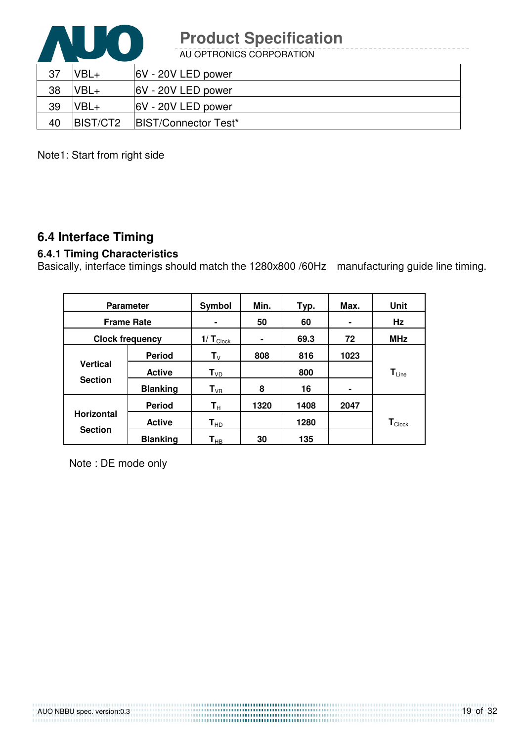

AU OPTRONICS CORPORATION

| 37 | VBL+             | 6V - 20V LED power          |
|----|------------------|-----------------------------|
| 38 | VBL+             | 6V - 20V LED power          |
| 39 | $VBL+$           | 6V - 20V LED power          |
| 40 | <b>IBIST/CT2</b> | <b>BIST/Connector Test*</b> |

Note1: Start from right side

### **6.4 Interface Timing**

### **6.4.1 Timing Characteristics**

Basically, interface timings should match the 1280x800 /60Hz manufacturing guide line timing.

| <b>Parameter</b>                  |                 | Symbol                    | Min.           | Typ. | Max. | <b>Unit</b>                 |
|-----------------------------------|-----------------|---------------------------|----------------|------|------|-----------------------------|
| <b>Frame Rate</b>                 |                 | $\blacksquare$            | 50             | 60   |      | Hz                          |
| <b>Clock frequency</b>            |                 | 1/ $T_{\text{Clock}}$     | $\blacksquare$ | 69.3 | 72   | <b>MHz</b>                  |
|                                   | <b>Period</b>   | $\mathsf{T}_{\mathsf{V}}$ | 808            | 816  | 1023 |                             |
| <b>Vertical</b><br><b>Section</b> | <b>Active</b>   | $T_{VD}$                  |                | 800  |      | $T_{Line}$                  |
|                                   | <b>Blanking</b> | $T_{VB}$                  | 8              | 16   | ۰    |                             |
|                                   | <b>Period</b>   | $\mathbf{T}_{\mathsf{H}}$ | 1320           | 1408 | 2047 |                             |
| <b>Horizontal</b>                 | <b>Active</b>   | $T_{HD}$                  |                | 1280 |      | $\mathbf{T}_{\text{Clock}}$ |
| <b>Section</b>                    | <b>Blanking</b> | $\textsf{T}_{\sf HB}$     | 30             | 135  |      |                             |

Note : DE mode only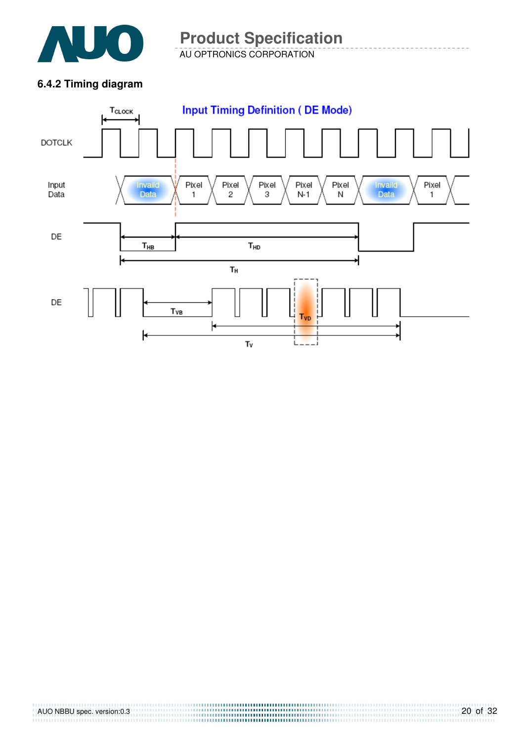

AU OPTRONICS CORPORATION **Product Specification** 

### **6.4.2 Timing diagram**

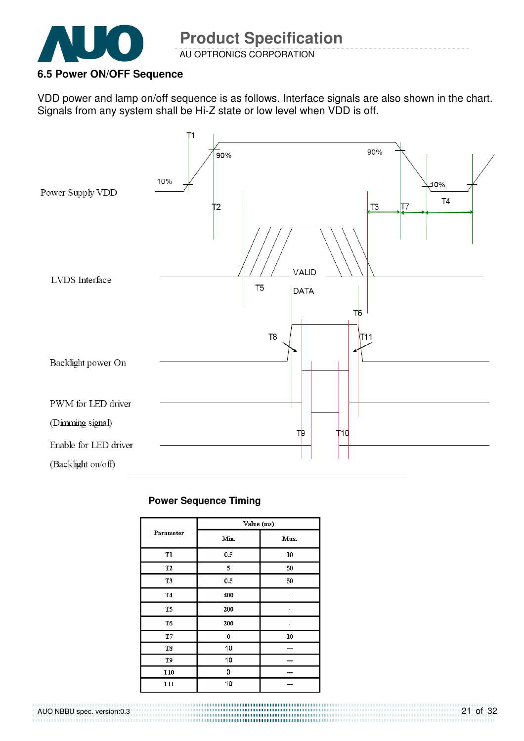

### **6.5 Power ON/OFF Sequence**

VDD power and lamp on/off sequence is as follows. Interface signals are also shown in the chart. Signals from any system shall be Hi-Z state or low level when VDD is off.



#### **Power Sequence Timing**

|                | Value (ms) |      |
|----------------|------------|------|
| Parameter      | Min.       | Max. |
| T1             | 0.5        | 10   |
| T <sub>2</sub> | 5          | 50   |
| T <sub>3</sub> | 0.5        | 50   |
| T4             | 400        |      |
| T <sub>5</sub> | 200        |      |
| T6             | 200        |      |
| T7             | 0          | 10   |
| T8             | 10         |      |
| T9             | 10         |      |
| T10            | 0          |      |
| T11            | 10         |      |

#### AUO NBBU spec. version:0.3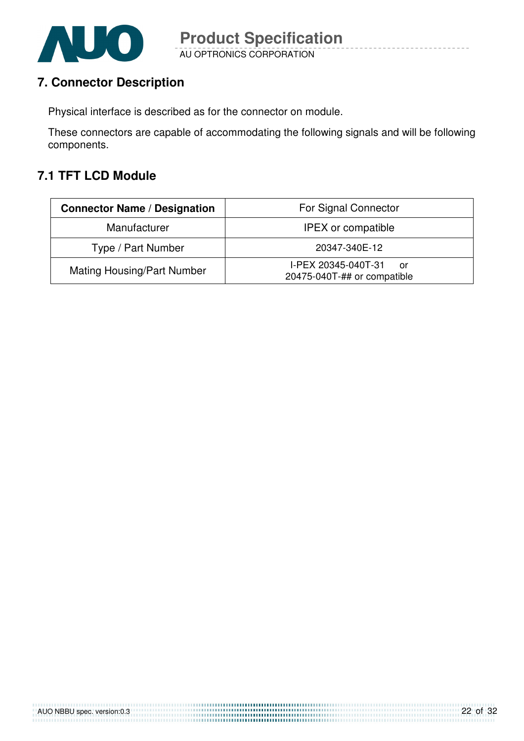

### **7. Connector Description**

Physical interface is described as for the connector on module.

These connectors are capable of accommodating the following signals and will be following components.

### **7.1 TFT LCD Module**

| <b>Connector Name / Designation</b> | For Signal Connector                                     |  |
|-------------------------------------|----------------------------------------------------------|--|
| Manufacturer                        | <b>IPEX</b> or compatible                                |  |
| Type / Part Number                  | 20347-340E-12                                            |  |
| <b>Mating Housing/Part Number</b>   | I-PEX 20345-040T-31<br>or<br>20475-040T-## or compatible |  |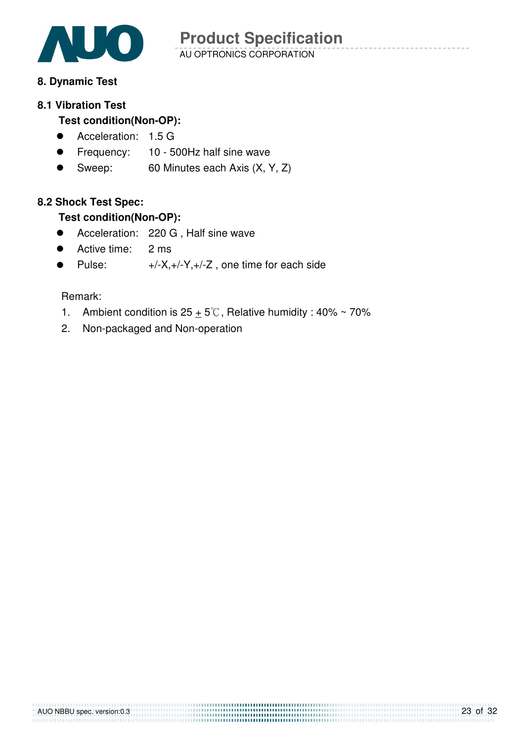

### **8. Dynamic Test**

#### **8.1 Vibration Test**

### **Test condition(Non-OP):**

- **Acceleration: 1.5 G**
- **Frequency:** 10 500Hz half sine wave
- Sweep: 60 Minutes each Axis (X, Y, Z)

#### **8.2 Shock Test Spec:**

#### **Test condition(Non-OP):**

- **•** Acceleration: 220 G, Half sine wave
- Active time: 2 ms
- Pulse:  $+/-X,+/-Y,+/-Z$ , one time for each side

#### Remark:

1. Ambient condition is  $25 + 5^\circ\text{C}$ , Relative humidity : 40% ~ 70%

2. Non-packaged and Non-operation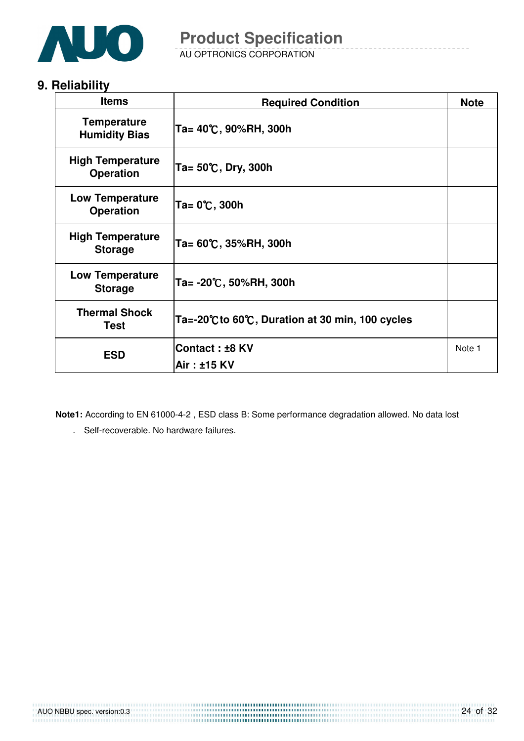

AU OPTRONICS CORPORATION

### **9. Reliability**

| <b>Items</b>                                | <b>Required Condition</b>                     | <b>Note</b> |
|---------------------------------------------|-----------------------------------------------|-------------|
| <b>Temperature</b><br><b>Humidity Bias</b>  | Ta= 40℃, 90%RH, 300h                          |             |
| <b>High Temperature</b><br><b>Operation</b> | Ta= $50^{\circ}$ C, Dry, 300h                 |             |
| <b>Low Temperature</b><br><b>Operation</b>  | Ta= 0℃, 300h                                  |             |
| <b>High Temperature</b><br><b>Storage</b>   | Ta= 60℃, 35%RH, 300h                          |             |
| <b>Low Temperature</b><br><b>Storage</b>    | Ta= -20℃, 50%RH, 300h                         |             |
| <b>Thermal Shock</b><br>Test                | Ta=-20℃to 60℃, Duration at 30 min, 100 cycles |             |
| <b>ESD</b>                                  | Contact: ±8 KV<br>Air: ±15 KV                 | Note 1      |

**Note1:** According to EN 61000-4-2 , ESD class B: Some performance degradation allowed. No data lost

. Self-recoverable. No hardware failures.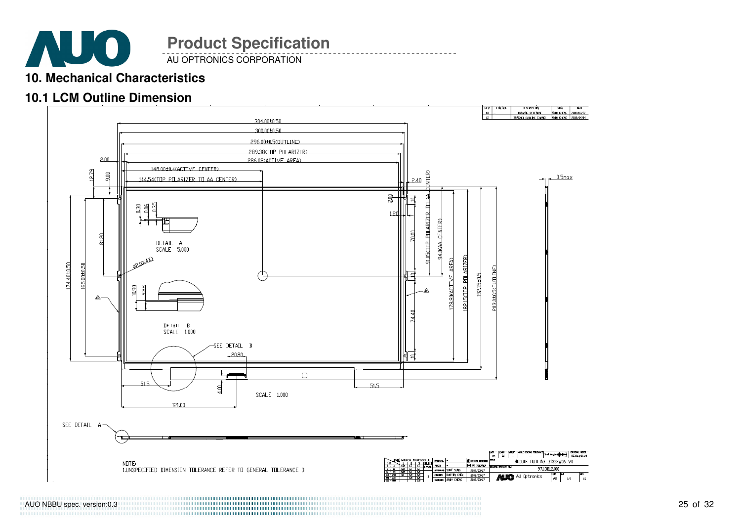

AU OPTRONICS CORPORATION

### **10. Mechanical Characteristics**

### **10.1 LCM Outline Dimension**



AUO NBBU spec. version:0.3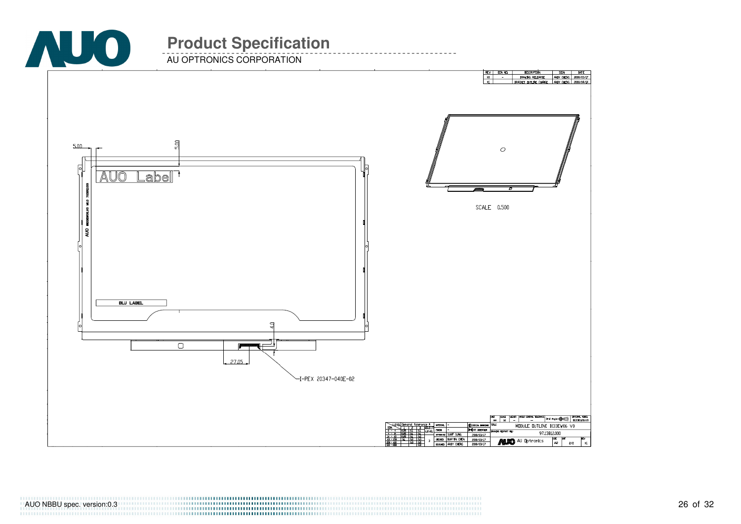

AU OPTRONICS CORPORATION

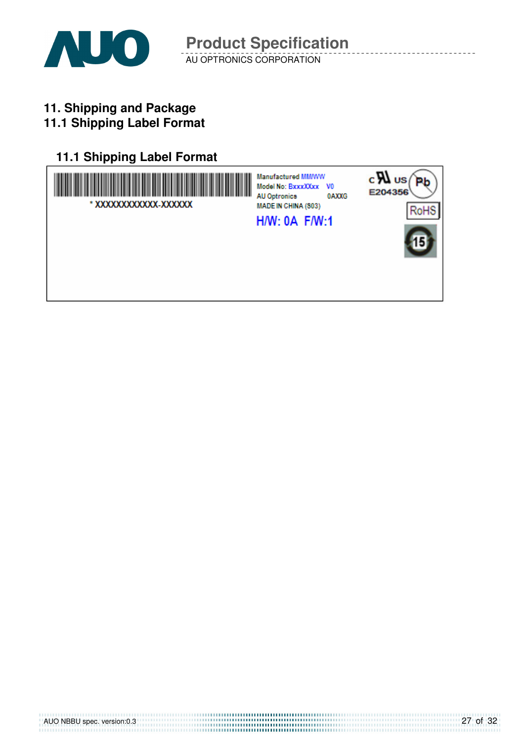

AU OPTRONICS CORPORATION **Product Specification** 

**11. Shipping and Package**

### **11.1 Shipping Label Format**

### **11.1 Shipping Label Format**

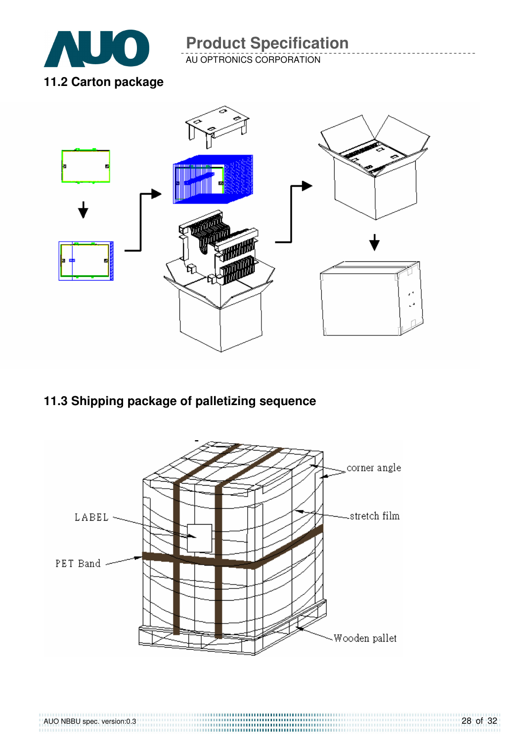

AU OPTRONICS CORPORATION



### **11.3 Shipping package of palletizing sequence**

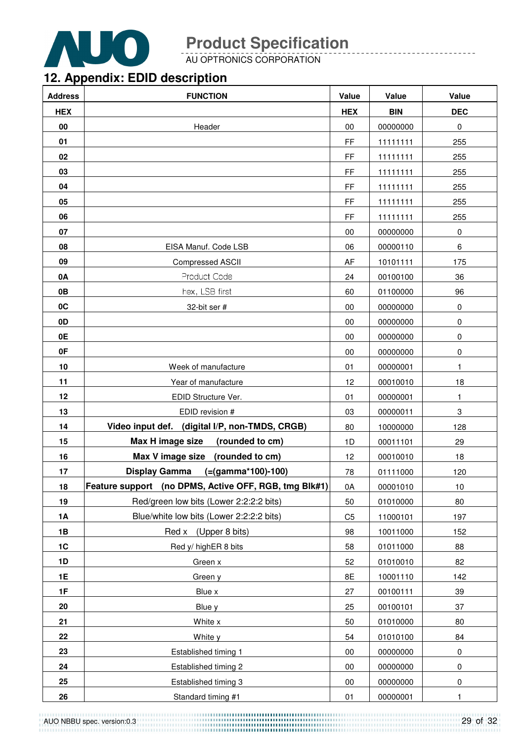

AU OPTRONICS CORPORATION

### **12. Appendix: EDID description**

| <b>Address</b> | <b>FUNCTION</b>                                       | Value          | Value      | Value       |
|----------------|-------------------------------------------------------|----------------|------------|-------------|
| <b>HEX</b>     |                                                       | <b>HEX</b>     | <b>BIN</b> | <b>DEC</b>  |
| 00             | Header                                                | 00             | 00000000   | $\pmb{0}$   |
| 01             |                                                       | FF             | 11111111   | 255         |
| 02             |                                                       | FF             | 11111111   | 255         |
| 03             |                                                       | FF             | 11111111   | 255         |
| 04             |                                                       | FF             | 11111111   | 255         |
| 05             |                                                       | FF             | 11111111   | 255         |
| 06             |                                                       | FF             | 11111111   | 255         |
| 07             |                                                       | 00             | 00000000   | $\mathbf 0$ |
| 08             | EISA Manuf. Code LSB                                  | 06             | 00000110   | 6           |
| 09             | <b>Compressed ASCII</b>                               | AF             | 10101111   | 175         |
| 0A             | Product Code                                          | 24             | 00100100   | 36          |
| 0B             | hex, LSB first                                        | 60             | 01100000   | 96          |
| 0C             | 32-bit ser #                                          | 00             | 00000000   | $\pmb{0}$   |
| 0 <sub>D</sub> |                                                       | 00             | 00000000   | 0           |
| 0E             |                                                       | 00             | 00000000   | 0           |
| 0F             |                                                       | 00             | 00000000   | 0           |
| 10             | Week of manufacture                                   | 01             | 00000001   | 1           |
| 11             | Year of manufacture                                   | 12             | 00010010   | 18          |
| 12             | EDID Structure Ver.                                   | 01             | 00000001   | 1           |
| 13             | EDID revision #                                       | 03             | 00000011   | 3           |
| 14             | Video input def. (digital I/P, non-TMDS, CRGB)        | 80             | 10000000   | 128         |
| 15             | Max H image size<br>(rounded to cm)                   | 1D             | 00011101   | 29          |
| 16             | Max V image size<br>(rounded to cm)                   | 12             | 00010010   | 18          |
| 17             | <b>Display Gamma</b><br>$(=(gamma*100)-100)$          | 78             | 01111000   | 120         |
| 18             | Feature support (no DPMS, Active OFF, RGB, tmg Blk#1) | 0A             | 00001010   | 10          |
| 19             | Red/green low bits (Lower 2:2:2:2 bits)               | 50             | 01010000   | 80          |
| 1A             | Blue/white low bits (Lower 2:2:2:2 bits)              | C <sub>5</sub> | 11000101   | 197         |
| 1B             | Red x (Upper 8 bits)                                  | 98             | 10011000   | 152         |
| 1C             | Red y/ highER 8 bits                                  | 58             | 01011000   | 88          |
| 1D             | Green x                                               | 52             | 01010010   | 82          |
| <b>1E</b>      | Green y                                               | 8E             | 10001110   | 142         |
| 1F             | Blue x                                                | 27             | 00100111   | 39          |
| 20             | Blue y                                                | 25             | 00100101   | 37          |
| 21             | White x                                               | 50             | 01010000   | 80          |
| 22             | White y                                               | 54             | 01010100   | 84          |
| 23             | Established timing 1                                  | 00             | 00000000   | 0           |
| 24             | Established timing 2                                  | 00             | 00000000   | 0           |
| 25             | Established timing 3                                  | 00             | 00000000   | 0           |
| 26             | Standard timing #1                                    | 01             | 00000001   | 1           |

AUO NBBU spec. version:0.3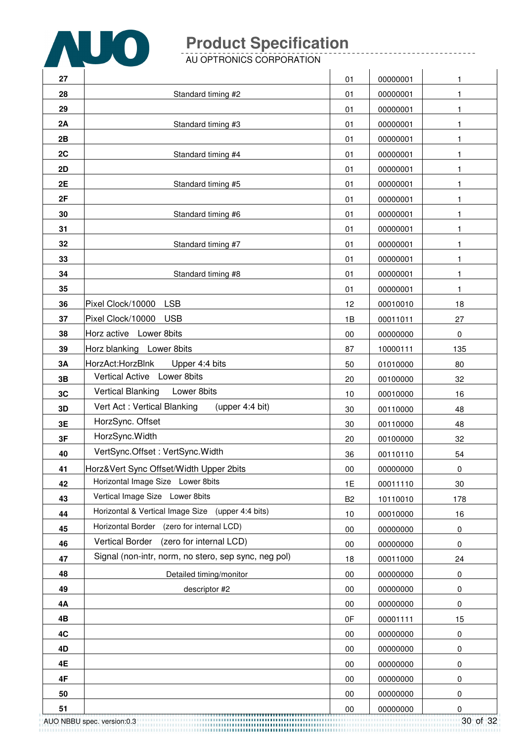

AU OPTRONICS CORPORATION

|           | AU OPTRONICS CORPORATION                             |                |          |          |
|-----------|------------------------------------------------------|----------------|----------|----------|
| 27        |                                                      | 01             | 00000001 | 1        |
| 28        | Standard timing #2                                   | 01             | 00000001 | 1        |
| 29        |                                                      | 01             | 00000001 | 1        |
| 2A        | Standard timing #3                                   | 01             | 00000001 | 1        |
| 2B        |                                                      | 01             | 00000001 | 1        |
| 2C        | Standard timing #4                                   | 01             | 00000001 | 1        |
| 2D        |                                                      | 01             | 00000001 | 1        |
| 2E        | Standard timing #5                                   | 01             | 00000001 | 1        |
| 2F        |                                                      | 01             | 00000001 | 1        |
| 30        | Standard timing #6                                   | 01             | 00000001 | 1        |
| 31        |                                                      | 01             | 00000001 | 1        |
| 32        | Standard timing #7                                   | 01             | 00000001 | 1        |
| 33        |                                                      | 01             | 00000001 | 1        |
| 34        | Standard timing #8                                   | 01             | 00000001 | 1        |
| 35        |                                                      | 01             | 00000001 | 1        |
| 36        | <b>LSB</b><br>Pixel Clock/10000                      | 12             | 00010010 | 18       |
| 37        | Pixel Clock/10000<br><b>USB</b>                      | 1B             | 00011011 | 27       |
| 38        | Horz active Lower 8bits                              | 00             | 00000000 | 0        |
| 39        | Horz blanking Lower 8bits                            | 87             | 10000111 | 135      |
| 3A        | HorzAct:HorzBlnk<br>Upper 4:4 bits                   | 50             | 01010000 | 80       |
| 3B        | Vertical Active Lower 8bits                          | 20             | 00100000 | 32       |
| 3C        | <b>Vertical Blanking</b><br>Lower 8bits              | 10             | 00010000 | 16       |
| 3D        | Vert Act: Vertical Blanking<br>(upper 4:4 bit)       | 30             | 00110000 | 48       |
| 3E        | HorzSync. Offset                                     | 30             | 00110000 | 48       |
| 3F        | HorzSync.Width                                       | 20             | 00100000 | 32       |
| 40        | VertSync.Offset: VertSync.Width                      | 36             | 00110110 | 54       |
| 41        | Horz‖ Sync Offset/Width Upper 2bits                  | 00             | 00000000 | 0        |
| 42        | Horizontal Image Size Lower 8bits                    | 1E             | 00011110 | 30       |
| 43        | Vertical Image Size Lower 8bits                      | B <sub>2</sub> | 10110010 | 178      |
| 44        | Horizontal & Vertical Image Size (upper 4:4 bits)    | 10             | 00010000 | 16       |
| 45        | Horizontal Border<br>(zero for internal LCD)         | 00             | 00000000 | 0        |
| 46        | Vertical Border<br>(zero for internal LCD)           | 00             | 00000000 | 0        |
| 47        | Signal (non-intr, norm, no stero, sep sync, neg pol) | 18             | 00011000 | 24       |
| 48        | Detailed timing/monitor                              | 00             | 00000000 | 0        |
| 49        | descriptor #2                                        | 00             | 00000000 | 0        |
| <b>4A</b> |                                                      | 00             | 00000000 | 0        |
| 4B        |                                                      | 0F             | 00001111 | 15       |
| 4C        |                                                      | 00             | 00000000 | 0        |
| 4D        |                                                      | 00             | 00000000 | 0        |
| 4E        |                                                      | 00             | 00000000 | 0        |
| 4F        |                                                      | 00             | 00000000 | 0        |
| 50        |                                                      | 00             | 00000000 | 0        |
| 51        |                                                      | 00             | 00000000 | 0        |
|           | AUO NBBU spec. version:0.3                           |                |          | 30 of 32 |

\_\_\_\_\_\_\_\_\_\_\_\_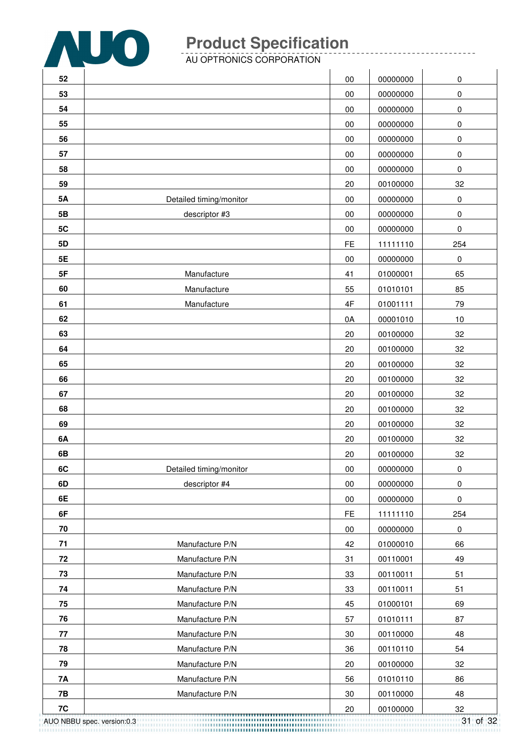

------------

AU OPTRONICS CORPORATION

| 52        |                            | 00        | 00000000 | 0              |
|-----------|----------------------------|-----------|----------|----------------|
| 53        |                            | $00\,$    | 00000000 | $\pmb{0}$      |
| 54        |                            | 00        | 00000000 | $\pmb{0}$      |
| 55        |                            | 00        | 00000000 | $\pmb{0}$      |
| 56        |                            | 00        | 00000000 | $\pmb{0}$      |
| 57        |                            | 00        | 00000000 | $\pmb{0}$      |
| 58        |                            | 00        | 00000000 | 0              |
| 59        |                            | 20        | 00100000 | 32             |
| <b>5A</b> | Detailed timing/monitor    | $00\,$    | 00000000 | $\pmb{0}$      |
| 5B        | descriptor #3              | $00\,$    | 00000000 | $\pmb{0}$      |
| 5C        |                            | $00\,$    | 00000000 | $\pmb{0}$      |
| 5D        |                            | <b>FE</b> | 11111110 | 254            |
| 5E        |                            | $00\,$    | 00000000 | 0              |
| 5F        | Manufacture                | 41        | 01000001 | 65             |
| 60        | Manufacture                | 55        | 01010101 | 85             |
| 61        | Manufacture                | 4F        | 01001111 | 79             |
| 62        |                            | 0A        | 00001010 | 10             |
| 63        |                            | 20        | 00100000 | 32             |
| 64        |                            | 20        | 00100000 | 32             |
| 65        |                            | 20        | 00100000 | 32             |
| 66        |                            | 20        | 00100000 | 32             |
| 67        |                            | 20        | 00100000 | 32             |
| 68        |                            | 20        | 00100000 | 32             |
| 69        |                            | 20        | 00100000 | 32             |
| 6A        |                            | 20        | 00100000 | 32             |
| 6B        |                            | 20        | 00100000 | 32             |
| 6C        | Detailed timing/monitor    | $00\,$    | 00000000 | 0              |
| 6D        | descriptor #4              | 00        | 00000000 | $\pmb{0}$      |
| 6E        |                            | $00\,$    | 00000000 | $\pmb{0}$      |
| 6F        |                            | <b>FE</b> | 11111110 | 254            |
| 70        |                            | $00\,$    | 00000000 | 0              |
| 71        | Manufacture P/N            | 42        | 01000010 | 66             |
| 72        | Manufacture P/N            | 31        | 00110001 | 49             |
| 73        | Manufacture P/N            | 33        | 00110011 | 51             |
| 74        | Manufacture P/N            | 33        | 00110011 | 51             |
| 75        | Manufacture P/N            | 45        | 01000101 | 69             |
| 76        | Manufacture P/N            | 57        | 01010111 | 87             |
| 77        | Manufacture P/N            | 30        | 00110000 | 48             |
| 78        | Manufacture P/N            | 36        | 00110110 | 54             |
| 79        | Manufacture P/N            | 20        | 00100000 | 32             |
| 7A        | Manufacture P/N            | 56        | 01010110 | 86             |
| 7B        | Manufacture P/N            | 30        | 00110000 | 48             |
| 7C        | AUO NBBU spec. version:0.3 | 20        | 00100000 | 32<br>31 of 32 |